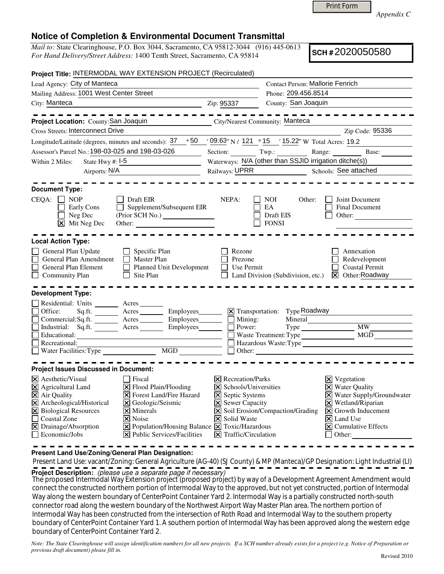Print Form

*Appendix C* 

## **Notice of Completion & Environmental Document Transmittal**

*Mail to:* State Clearinghouse, P.O. Box 3044, Sacramento, CA 95812-3044 (916) 445-0613 *For Hand Delivery/Street Address:* 1400 Tenth Street, Sacramento, CA 95814

**SCH #** 2020050580

| Project Title: INTERMODAL WAY EXTENSION PROJECT (Recirculated)                                                                                                                                                                                                                                                                                                                                                                                                                                                             |                                                                                                                                                                                                 |                                                        |                                                                                                                                                                                                                                       |  |  |  |
|----------------------------------------------------------------------------------------------------------------------------------------------------------------------------------------------------------------------------------------------------------------------------------------------------------------------------------------------------------------------------------------------------------------------------------------------------------------------------------------------------------------------------|-------------------------------------------------------------------------------------------------------------------------------------------------------------------------------------------------|--------------------------------------------------------|---------------------------------------------------------------------------------------------------------------------------------------------------------------------------------------------------------------------------------------|--|--|--|
| Lead Agency: City of Manteca                                                                                                                                                                                                                                                                                                                                                                                                                                                                                               |                                                                                                                                                                                                 | <b>Contact Person: Mallorie Fenrich</b>                |                                                                                                                                                                                                                                       |  |  |  |
| Mailing Address: 1001 West Center Street                                                                                                                                                                                                                                                                                                                                                                                                                                                                                   |                                                                                                                                                                                                 | Phone: 209.456.8514                                    |                                                                                                                                                                                                                                       |  |  |  |
| City: Manteca<br>$\overline{2ip: 95337}$                                                                                                                                                                                                                                                                                                                                                                                                                                                                                   |                                                                                                                                                                                                 | County: San Joaquin                                    |                                                                                                                                                                                                                                       |  |  |  |
| Project Location: County: San Joaquin                                                                                                                                                                                                                                                                                                                                                                                                                                                                                      |                                                                                                                                                                                                 | <b>City/Nearest Community: Manteca</b>                 |                                                                                                                                                                                                                                       |  |  |  |
| <b>Cross Streets: Interconnect Drive</b>                                                                                                                                                                                                                                                                                                                                                                                                                                                                                   |                                                                                                                                                                                                 |                                                        | Zip Code: 95336                                                                                                                                                                                                                       |  |  |  |
| Longitude/Latitude (degrees, minutes and seconds): $37 \degree$ 50 $\degree$ (99.63" N / 121 $\degree$ 15 $\degree$ 15.22" W Total Acres: 19.2                                                                                                                                                                                                                                                                                                                                                                             |                                                                                                                                                                                                 |                                                        |                                                                                                                                                                                                                                       |  |  |  |
| Assessor's Parcel No.: 198-03-025 and 198-03-026                                                                                                                                                                                                                                                                                                                                                                                                                                                                           |                                                                                                                                                                                                 |                                                        | Section: Twp.: Range: Base:                                                                                                                                                                                                           |  |  |  |
| State Hwy #: $I-5$<br>Within 2 Miles:                                                                                                                                                                                                                                                                                                                                                                                                                                                                                      |                                                                                                                                                                                                 | Waterways: N/A (other than SSJID irrigation ditche(s)) |                                                                                                                                                                                                                                       |  |  |  |
| Airports: N/A<br><u> 1989 - Johann Barbara, martxa eta idazlea </u>                                                                                                                                                                                                                                                                                                                                                                                                                                                        | Railways: UPRR Schools: See attached                                                                                                                                                            |                                                        |                                                                                                                                                                                                                                       |  |  |  |
| <b>Document Type:</b><br>$CEQA: \Box NP$<br>Draft EIR<br>Supplement/Subsequent EIR<br>Early Cons<br>Neg Dec<br>X Mit Neg Dec                                                                                                                                                                                                                                                                                                                                                                                               | NEPA:                                                                                                                                                                                           | NOI.<br>Other:<br>EA<br>Draft EIS<br><b>FONSI</b>      | Joint Document<br>Final Document<br>Other:                                                                                                                                                                                            |  |  |  |
| <b>Local Action Type:</b>                                                                                                                                                                                                                                                                                                                                                                                                                                                                                                  |                                                                                                                                                                                                 |                                                        |                                                                                                                                                                                                                                       |  |  |  |
| General Plan Update<br>$\Box$ Specific Plan<br>General Plan Amendment<br>$\Box$ Master Plan<br>Planned Unit Development<br>General Plan Element<br>$\Box$ Site Plan<br><b>Community Plan</b>                                                                                                                                                                                                                                                                                                                               | Rezone<br>Prezone<br>Use Permit                                                                                                                                                                 |                                                        | Annexation<br>Redevelopment<br><b>Coastal Permit</b><br>Land Division (Subdivision, etc.) <b>X</b> Other: Roadway                                                                                                                     |  |  |  |
| <b>Development Type:</b><br>Residential: Units _________ Acres _______<br>Office:<br>Sq.ft. ________ Acres __________ Employees ________ $\boxtimes$ Transportation: Type Roadway<br>Commercial:Sq.ft. ________ Acres _________ Employees ________ __ Mining:                                                                                                                                                                                                                                                              |                                                                                                                                                                                                 | Mineral                                                |                                                                                                                                                                                                                                       |  |  |  |
| Industrial: Sq.ft. Acres<br>Employees________                                                                                                                                                                                                                                                                                                                                                                                                                                                                              | Power:                                                                                                                                                                                          |                                                        | Type MW                                                                                                                                                                                                                               |  |  |  |
| Educational:                                                                                                                                                                                                                                                                                                                                                                                                                                                                                                               |                                                                                                                                                                                                 |                                                        | MGD                                                                                                                                                                                                                                   |  |  |  |
| Recreational:                                                                                                                                                                                                                                                                                                                                                                                                                                                                                                              |                                                                                                                                                                                                 |                                                        | Hazardous Waste:Type                                                                                                                                                                                                                  |  |  |  |
|                                                                                                                                                                                                                                                                                                                                                                                                                                                                                                                            |                                                                                                                                                                                                 | $\Box$ Other:                                          |                                                                                                                                                                                                                                       |  |  |  |
| <b>Project Issues Discussed in Document:</b>                                                                                                                                                                                                                                                                                                                                                                                                                                                                               |                                                                                                                                                                                                 |                                                        |                                                                                                                                                                                                                                       |  |  |  |
| $ \mathsf{X} $ Aesthetic/Visual<br>  Fiscal<br>$\boxtimes$ Agricultural Land<br>$\Xi$ Flood Plain/Flooding<br>X Air Quality<br><b>X</b> Forest Land/Fire Hazard<br>X Archeological/Historical<br>X Geologic/Seismic<br>X Biological Resources<br>$\overline{\mathsf{x}}$ Minerals<br>Coastal Zone<br>$ \mathsf{X} $ Noise<br>X Drainage/Absorption<br>$\boxed{\mathbf{X}}$ Population/Housing Balance $\boxed{\mathbf{X}}$ Toxic/Hazardous<br>$\Box$ Economic/Jobs<br>$ \mathbf{\overline{X}} $ Public Services/Facilities | $ \mathsf{X} $ Recreation/Parks<br>$\triangleright$ Schools/Universities<br><b>X</b> Septic Systems<br>$\Xi$ Sewer Capacity<br><b>X</b> Solid Waste<br>$\boxed{\mathsf{X}}$ Traffic/Circulation | X Soil Erosion/Compaction/Grading                      | $\times$ Vegetation<br><b>X</b> Water Quality<br>X Water Supply/Groundwater<br>$\times$ Wetland/Riparian<br>$\vert\mathbf{X}\vert$ Growth Inducement<br>$ \mathsf{X} $ Land Use<br>$ \mathsf{x} $ Cumulative Effects<br>$\Box$ Other: |  |  |  |

**Present Land Use/Zoning/General Plan Designation:**

 Present Land Use: vacant/Zoning: General Agriculture (AG-40) (SJ County) & MP (Manteca)/GP Designation: Light Industrial (LI) **Project Description:** (please use a separate page if necessary)

 The proposed Intermodal Way Extension project (proposed project) by way of a Development Agreement Amendment would connect the constructed northern portion of Intermodal Way to the approved, but not yet constructed, portion of Intermodal Way along the western boundary of CenterPoint Container Yard 2. Intermodal Way is a partially constructed north-south connector road along the western boundary of the Northwest Airport Way Master Plan area. The northern portion of Intermodal Way has been constructed from the intersection of Roth Road and Intermodal Way to the southern property boundary of CenterPoint Container Yard 1. A southern portion of Intermodal Way has been approved along the western edge boundary of CenterPoint Container Yard 2.

*Note: The State Clearinghouse will assign identification numbers for all new projects. If a SCH number already exists for a project (e.g. Notice of Preparation or previous draft document) please fill in.*